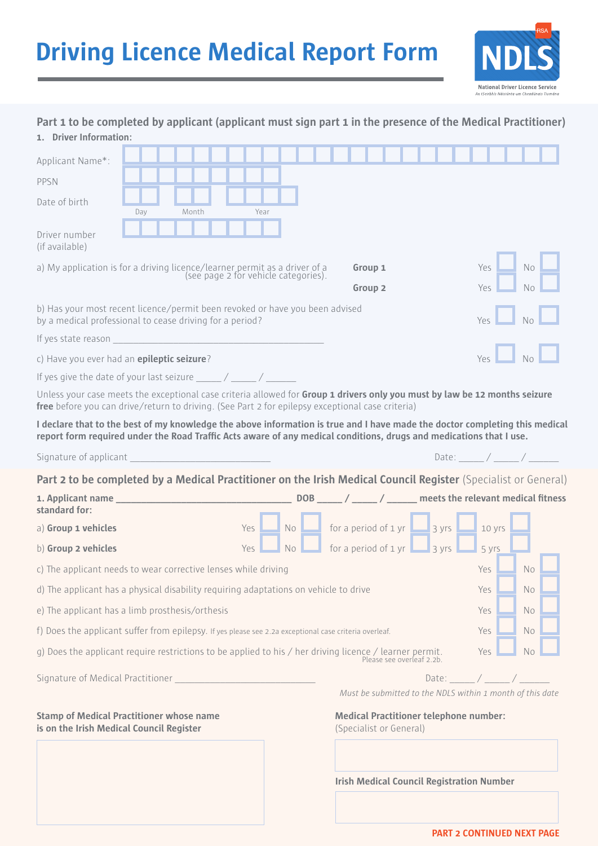## **Driving Licence Medical Report Form**



| Part 1 to be completed by applicant (applicant must sign part 1 in the presence of the Medical Practitioner)<br>1. Driver Information:                                                                                                             |                                                   |  |       |  |  |                                      |           |                                                           |           |                                                                          |                           |  |  |          |                |                                   |                                                           |  |
|----------------------------------------------------------------------------------------------------------------------------------------------------------------------------------------------------------------------------------------------------|---------------------------------------------------|--|-------|--|--|--------------------------------------|-----------|-----------------------------------------------------------|-----------|--------------------------------------------------------------------------|---------------------------|--|--|----------|----------------|-----------------------------------|-----------------------------------------------------------|--|
| Applicant Name*:                                                                                                                                                                                                                                   |                                                   |  |       |  |  |                                      |           |                                                           |           |                                                                          |                           |  |  |          |                |                                   |                                                           |  |
| PPSN                                                                                                                                                                                                                                               |                                                   |  |       |  |  |                                      |           |                                                           |           |                                                                          |                           |  |  |          |                |                                   |                                                           |  |
| Date of birth                                                                                                                                                                                                                                      |                                                   |  |       |  |  |                                      |           |                                                           |           |                                                                          |                           |  |  |          |                |                                   |                                                           |  |
|                                                                                                                                                                                                                                                    | Day                                               |  | Month |  |  | Year                                 |           |                                                           |           |                                                                          |                           |  |  |          |                |                                   |                                                           |  |
| Driver number<br>(if available)                                                                                                                                                                                                                    |                                                   |  |       |  |  |                                      |           |                                                           |           |                                                                          |                           |  |  |          |                |                                   |                                                           |  |
| a) My application is for a driving licence/learner permit as a driver of a                                                                                                                                                                         |                                                   |  |       |  |  | (see page 2 for vehicle categories). |           |                                                           |           | Group 1                                                                  |                           |  |  | Yes      |                | <b>No</b>                         |                                                           |  |
|                                                                                                                                                                                                                                                    |                                                   |  |       |  |  |                                      |           |                                                           |           | Group <sub>2</sub>                                                       |                           |  |  | Yes.     |                | N <sub>0</sub>                    |                                                           |  |
| b) Has your most recent licence/permit been revoked or have you been advised<br>by a medical professional to cease driving for a period?<br>Yes.                                                                                                   |                                                   |  |       |  |  |                                      |           |                                                           |           |                                                                          |                           |  |  |          |                |                                   |                                                           |  |
| If yes state reason and the state of the state of the state of the state of the state of the state of the state of the state of the state of the state of the state of the state of the state of the state of the state of the                     |                                                   |  |       |  |  |                                      |           |                                                           |           |                                                                          |                           |  |  |          |                |                                   |                                                           |  |
|                                                                                                                                                                                                                                                    | Yes<br>c) Have you ever had an epileptic seizure? |  |       |  |  |                                      |           |                                                           |           |                                                                          |                           |  |  |          |                |                                   |                                                           |  |
| If yes give the date of your last seizure $\frac{1}{2}$ / ______ / ______ /                                                                                                                                                                        |                                                   |  |       |  |  |                                      |           |                                                           |           |                                                                          |                           |  |  |          |                |                                   |                                                           |  |
| Unless your case meets the exceptional case criteria allowed for Group 1 drivers only you must by law be 12 months seizure<br>free before you can drive/return to driving. (See Part 2 for epilepsy exceptional case criteria)                     |                                                   |  |       |  |  |                                      |           |                                                           |           |                                                                          |                           |  |  |          |                |                                   |                                                           |  |
| I declare that to the best of my knowledge the above information is true and I have made the doctor completing this medical<br>report form required under the Road Traffic Acts aware of any medical conditions, drugs and medications that I use. |                                                   |  |       |  |  |                                      |           |                                                           |           |                                                                          |                           |  |  |          |                |                                   |                                                           |  |
| Signature of applicant                                                                                                                                                                                                                             |                                                   |  |       |  |  |                                      |           |                                                           |           |                                                                          |                           |  |  |          |                | Date: $\angle$ / _____ / ______ / |                                                           |  |
| Part 2 to be completed by a Medical Practitioner on the Irish Medical Council Register (Specialist or General)                                                                                                                                     |                                                   |  |       |  |  |                                      |           |                                                           |           |                                                                          |                           |  |  |          |                |                                   |                                                           |  |
| standard for:                                                                                                                                                                                                                                      |                                                   |  |       |  |  |                                      |           |                                                           |           |                                                                          |                           |  |  |          |                |                                   |                                                           |  |
| a) Group 1 vehicles                                                                                                                                                                                                                                |                                                   |  |       |  |  | Yes                                  |           | No $\Box$ for a period of 1 yr $\Box$ 3 yrs $\Box$ 10 yrs |           |                                                                          |                           |  |  |          |                |                                   |                                                           |  |
| b) Group 2 vehicles                                                                                                                                                                                                                                |                                                   |  |       |  |  | <b>Yes</b>                           | <b>No</b> |                                                           |           | for a period of $1 \text{ yr}$ 3 yrs                                     |                           |  |  | $-5$ yrs |                |                                   |                                                           |  |
| c) The applicant needs to wear corrective lenses while driving                                                                                                                                                                                     |                                                   |  |       |  |  |                                      | Yes       |                                                           | No        |                                                                          |                           |  |  |          |                |                                   |                                                           |  |
| d) The applicant has a physical disability requiring adaptations on vehicle to drive                                                                                                                                                               |                                                   |  |       |  |  |                                      | Yes       |                                                           | <b>No</b> |                                                                          |                           |  |  |          |                |                                   |                                                           |  |
| e) The applicant has a limb prosthesis/orthesis                                                                                                                                                                                                    |                                                   |  |       |  |  | Yes                                  |           | <b>No</b>                                                 |           |                                                                          |                           |  |  |          |                |                                   |                                                           |  |
| f) Does the applicant suffer from epilepsy. If yes please see 2.2a exceptional case criteria overleaf.                                                                                                                                             |                                                   |  |       |  |  |                                      | Yes       |                                                           | No.       |                                                                          |                           |  |  |          |                |                                   |                                                           |  |
| g) Does the applicant require restrictions to be applied to his / her driving licence / learner permit.                                                                                                                                            |                                                   |  |       |  |  |                                      |           |                                                           |           |                                                                          | Please see overleaf 2.2b. |  |  | Yes      |                | No.                               |                                                           |  |
| Signature of Medical Practitioner                                                                                                                                                                                                                  |                                                   |  |       |  |  |                                      |           |                                                           |           |                                                                          |                           |  |  |          | Date: $\angle$ |                                   |                                                           |  |
|                                                                                                                                                                                                                                                    |                                                   |  |       |  |  |                                      |           |                                                           |           |                                                                          |                           |  |  |          |                |                                   | Must be submitted to the NDLS within 1 month of this date |  |
| <b>Stamp of Medical Practitioner whose name</b><br>is on the Irish Medical Council Register                                                                                                                                                        |                                                   |  |       |  |  |                                      |           |                                                           |           | <b>Medical Practitioner telephone number:</b><br>(Specialist or General) |                           |  |  |          |                |                                   |                                                           |  |

**Irish Medical Council Registration Number**

**PART 2 CONTINUED NEXT PAGE**